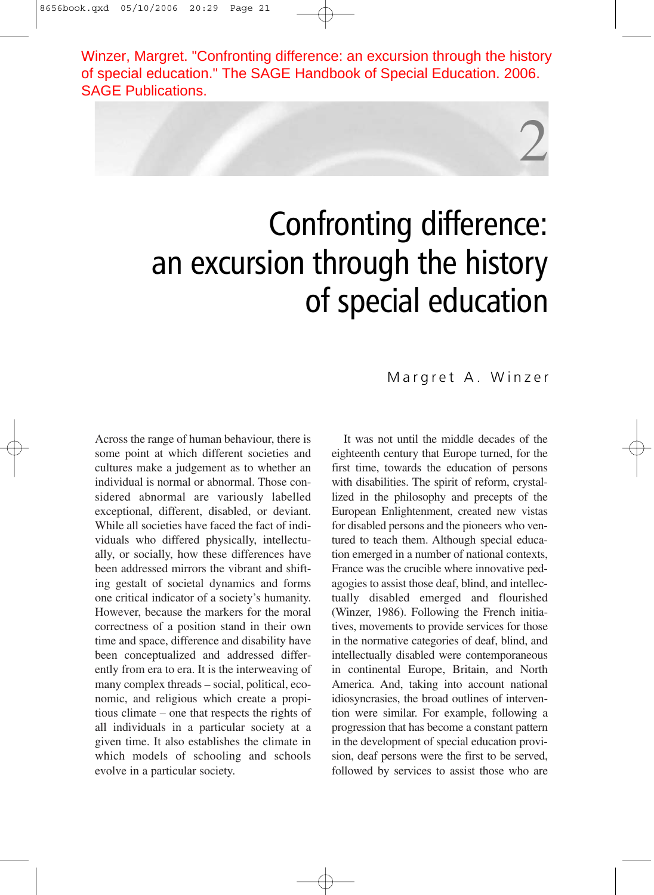Winzer, Margret. "Confronting difference: an excursion through the history of special education." The SAGE Handbook of Special Education. 2006. SAGE Publications.



# Confronting difference: an excursion through the history of special education

Margret A. Winzer

Across the range of human behaviour, there is some point at which different societies and cultures make a judgement as to whether an individual is normal or abnormal. Those considered abnormal are variously labelled exceptional, different, disabled, or deviant. While all societies have faced the fact of individuals who differed physically, intellectually, or socially, how these differences have been addressed mirrors the vibrant and shifting gestalt of societal dynamics and forms one critical indicator of a society's humanity. However, because the markers for the moral correctness of a position stand in their own time and space, difference and disability have been conceptualized and addressed differently from era to era. It is the interweaving of many complex threads – social, political, economic, and religious which create a propitious climate – one that respects the rights of all individuals in a particular society at a given time. It also establishes the climate in which models of schooling and schools evolve in a particular society.

It was not until the middle decades of the eighteenth century that Europe turned, for the first time, towards the education of persons with disabilities. The spirit of reform, crystallized in the philosophy and precepts of the European Enlightenment, created new vistas for disabled persons and the pioneers who ventured to teach them. Although special education emerged in a number of national contexts, France was the crucible where innovative pedagogies to assist those deaf, blind, and intellectually disabled emerged and flourished (Winzer, 1986). Following the French initiatives, movements to provide services for those in the normative categories of deaf, blind, and intellectually disabled were contemporaneous in continental Europe, Britain, and North America. And, taking into account national idiosyncrasies, the broad outlines of intervention were similar. For example, following a progression that has become a constant pattern in the development of special education provision, deaf persons were the first to be served, followed by services to assist those who are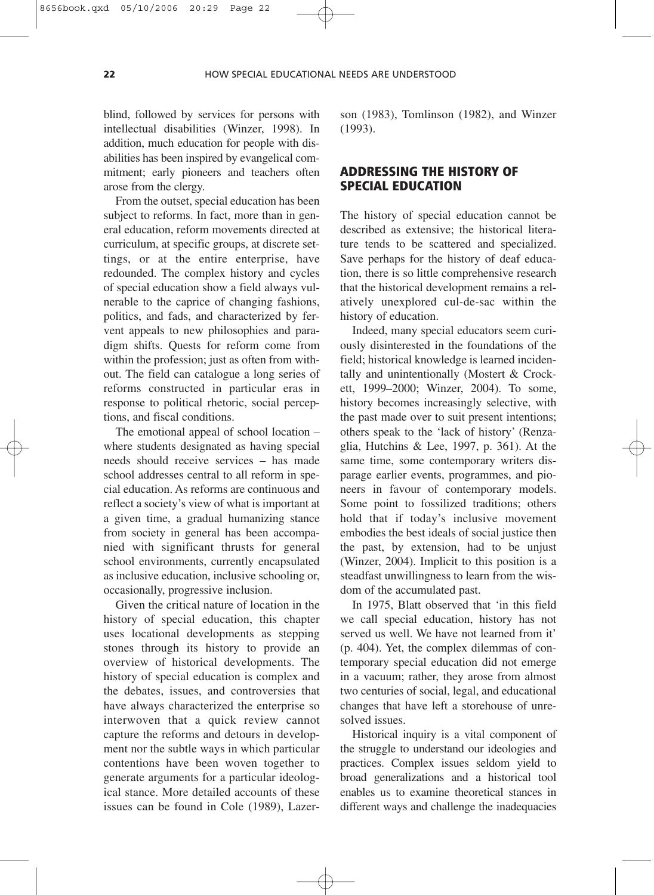blind, followed by services for persons with intellectual disabilities (Winzer, 1998). In addition, much education for people with disabilities has been inspired by evangelical commitment; early pioneers and teachers often arose from the clergy.

From the outset, special education has been subject to reforms. In fact, more than in general education, reform movements directed at curriculum, at specific groups, at discrete settings, or at the entire enterprise, have redounded. The complex history and cycles of special education show a field always vulnerable to the caprice of changing fashions, politics, and fads, and characterized by fervent appeals to new philosophies and paradigm shifts. Quests for reform come from within the profession; just as often from without. The field can catalogue a long series of reforms constructed in particular eras in response to political rhetoric, social perceptions, and fiscal conditions.

The emotional appeal of school location – where students designated as having special needs should receive services – has made school addresses central to all reform in special education. As reforms are continuous and reflect a society's view of what is important at a given time, a gradual humanizing stance from society in general has been accompanied with significant thrusts for general school environments, currently encapsulated as inclusive education, inclusive schooling or, occasionally, progressive inclusion.

Given the critical nature of location in the history of special education, this chapter uses locational developments as stepping stones through its history to provide an overview of historical developments. The history of special education is complex and the debates, issues, and controversies that have always characterized the enterprise so interwoven that a quick review cannot capture the reforms and detours in development nor the subtle ways in which particular contentions have been woven together to generate arguments for a particular ideological stance. More detailed accounts of these issues can be found in Cole (1989), Lazerson (1983), Tomlinson (1982), and Winzer (1993).

# ADDRESSING THE HISTORY OF SPECIAL EDUCATION

The history of special education cannot be described as extensive; the historical literature tends to be scattered and specialized. Save perhaps for the history of deaf education, there is so little comprehensive research that the historical development remains a relatively unexplored cul-de-sac within the history of education.

Indeed, many special educators seem curiously disinterested in the foundations of the field; historical knowledge is learned incidentally and unintentionally (Mostert & Crockett, 1999–2000; Winzer, 2004). To some, history becomes increasingly selective, with the past made over to suit present intentions; others speak to the 'lack of history' (Renzaglia, Hutchins & Lee, 1997, p. 361). At the same time, some contemporary writers disparage earlier events, programmes, and pioneers in favour of contemporary models. Some point to fossilized traditions; others hold that if today's inclusive movement embodies the best ideals of social justice then the past, by extension, had to be unjust (Winzer, 2004). Implicit to this position is a steadfast unwillingness to learn from the wisdom of the accumulated past.

In 1975, Blatt observed that 'in this field we call special education, history has not served us well. We have not learned from it' (p. 404). Yet, the complex dilemmas of contemporary special education did not emerge in a vacuum; rather, they arose from almost two centuries of social, legal, and educational changes that have left a storehouse of unresolved issues.

Historical inquiry is a vital component of the struggle to understand our ideologies and practices. Complex issues seldom yield to broad generalizations and a historical tool enables us to examine theoretical stances in different ways and challenge the inadequacies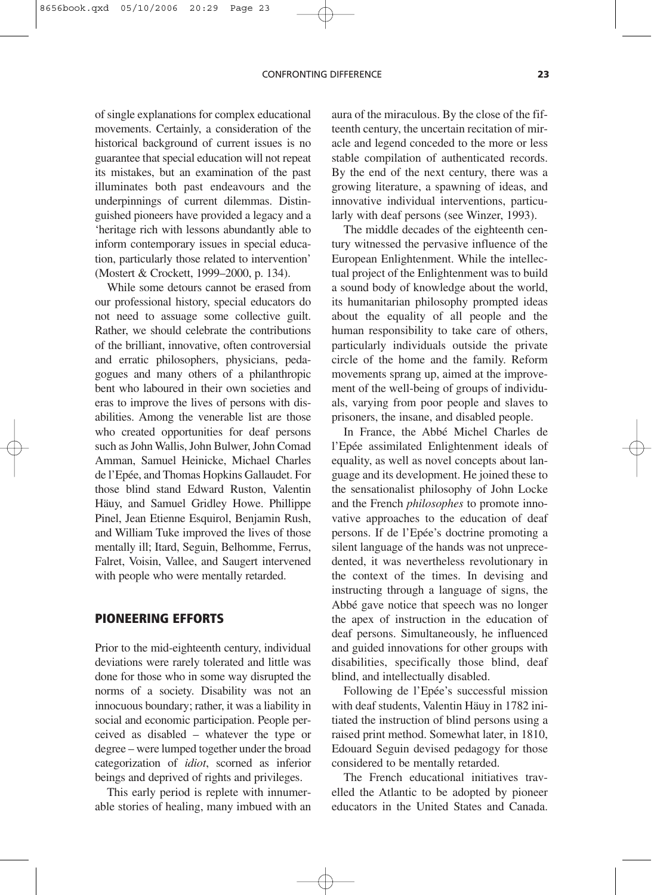of single explanations for complex educational movements. Certainly, a consideration of the historical background of current issues is no guarantee that special education will not repeat its mistakes, but an examination of the past illuminates both past endeavours and the underpinnings of current dilemmas. Distinguished pioneers have provided a legacy and a 'heritage rich with lessons abundantly able to inform contemporary issues in special education, particularly those related to intervention' (Mostert & Crockett, 1999–2000, p. 134).

While some detours cannot be erased from our professional history, special educators do not need to assuage some collective guilt. Rather, we should celebrate the contributions of the brilliant, innovative, often controversial and erratic philosophers, physicians, pedagogues and many others of a philanthropic bent who laboured in their own societies and eras to improve the lives of persons with disabilities. Among the venerable list are those who created opportunities for deaf persons such as John Wallis, John Bulwer, John Comad Amman, Samuel Heinicke, Michael Charles de l'Epée, and Thomas Hopkins Gallaudet. For those blind stand Edward Ruston, Valentin Häuy, and Samuel Gridley Howe. Phillippe Pinel, Jean Etienne Esquirol, Benjamin Rush, and William Tuke improved the lives of those mentally ill; Itard, Seguin, Belhomme, Ferrus, Falret, Voisin, Vallee, and Saugert intervened with people who were mentally retarded.

#### PIONEERING EFFORTS

Prior to the mid-eighteenth century, individual deviations were rarely tolerated and little was done for those who in some way disrupted the norms of a society. Disability was not an innocuous boundary; rather, it was a liability in social and economic participation. People perceived as disabled – whatever the type or degree – were lumped together under the broad categorization of *idiot*, scorned as inferior beings and deprived of rights and privileges.

This early period is replete with innumerable stories of healing, many imbued with an aura of the miraculous. By the close of the fifteenth century, the uncertain recitation of miracle and legend conceded to the more or less stable compilation of authenticated records. By the end of the next century, there was a growing literature, a spawning of ideas, and innovative individual interventions, particularly with deaf persons (see Winzer, 1993).

The middle decades of the eighteenth century witnessed the pervasive influence of the European Enlightenment. While the intellectual project of the Enlightenment was to build a sound body of knowledge about the world, its humanitarian philosophy prompted ideas about the equality of all people and the human responsibility to take care of others, particularly individuals outside the private circle of the home and the family. Reform movements sprang up, aimed at the improvement of the well-being of groups of individuals, varying from poor people and slaves to prisoners, the insane, and disabled people.

In France, the Abbé Michel Charles de l'Epée assimilated Enlightenment ideals of equality, as well as novel concepts about language and its development. He joined these to the sensationalist philosophy of John Locke and the French *philosophes* to promote innovative approaches to the education of deaf persons. If de l'Epée's doctrine promoting a silent language of the hands was not unprecedented, it was nevertheless revolutionary in the context of the times. In devising and instructing through a language of signs, the Abbé gave notice that speech was no longer the apex of instruction in the education of deaf persons. Simultaneously, he influenced and guided innovations for other groups with disabilities, specifically those blind, deaf blind, and intellectually disabled.

Following de l'Epée's successful mission with deaf students, Valentin Häuy in 1782 initiated the instruction of blind persons using a raised print method. Somewhat later, in 1810, Edouard Seguin devised pedagogy for those considered to be mentally retarded.

The French educational initiatives travelled the Atlantic to be adopted by pioneer educators in the United States and Canada.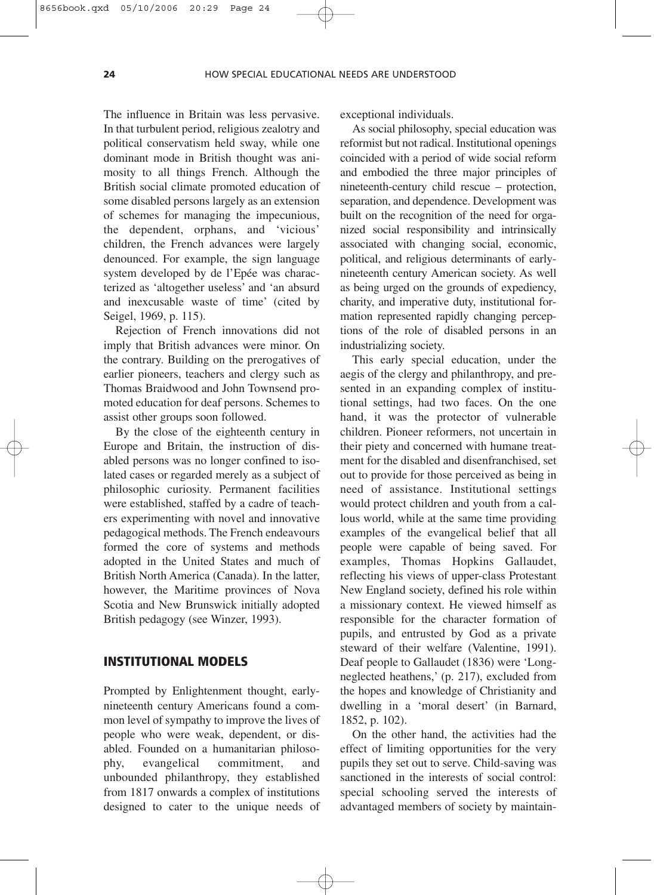The influence in Britain was less pervasive. In that turbulent period, religious zealotry and political conservatism held sway, while one dominant mode in British thought was animosity to all things French. Although the British social climate promoted education of some disabled persons largely as an extension of schemes for managing the impecunious, the dependent, orphans, and 'vicious' children, the French advances were largely denounced. For example, the sign language system developed by de l'Epée was characterized as 'altogether useless' and 'an absurd and inexcusable waste of time' (cited by Seigel, 1969, p. 115).

Rejection of French innovations did not imply that British advances were minor. On the contrary. Building on the prerogatives of earlier pioneers, teachers and clergy such as Thomas Braidwood and John Townsend promoted education for deaf persons. Schemes to assist other groups soon followed.

By the close of the eighteenth century in Europe and Britain, the instruction of disabled persons was no longer confined to isolated cases or regarded merely as a subject of philosophic curiosity. Permanent facilities were established, staffed by a cadre of teachers experimenting with novel and innovative pedagogical methods. The French endeavours formed the core of systems and methods adopted in the United States and much of British North America (Canada). In the latter, however, the Maritime provinces of Nova Scotia and New Brunswick initially adopted British pedagogy (see Winzer, 1993).

#### INSTITUTIONAL MODELS

Prompted by Enlightenment thought, earlynineteenth century Americans found a common level of sympathy to improve the lives of people who were weak, dependent, or disabled. Founded on a humanitarian philosophy, evangelical commitment, and unbounded philanthropy, they established from 1817 onwards a complex of institutions designed to cater to the unique needs of exceptional individuals.

As social philosophy, special education was reformist but not radical. Institutional openings coincided with a period of wide social reform and embodied the three major principles of nineteenth-century child rescue – protection, separation, and dependence. Development was built on the recognition of the need for organized social responsibility and intrinsically associated with changing social, economic, political, and religious determinants of earlynineteenth century American society. As well as being urged on the grounds of expediency, charity, and imperative duty, institutional formation represented rapidly changing perceptions of the role of disabled persons in an industrializing society.

This early special education, under the aegis of the clergy and philanthropy, and presented in an expanding complex of institutional settings, had two faces. On the one hand, it was the protector of vulnerable children. Pioneer reformers, not uncertain in their piety and concerned with humane treatment for the disabled and disenfranchised, set out to provide for those perceived as being in need of assistance. Institutional settings would protect children and youth from a callous world, while at the same time providing examples of the evangelical belief that all people were capable of being saved. For examples, Thomas Hopkins Gallaudet, reflecting his views of upper-class Protestant New England society, defined his role within a missionary context. He viewed himself as responsible for the character formation of pupils, and entrusted by God as a private steward of their welfare (Valentine, 1991). Deaf people to Gallaudet (1836) were 'Longneglected heathens,' (p. 217), excluded from the hopes and knowledge of Christianity and dwelling in a 'moral desert' (in Barnard, 1852, p. 102).

On the other hand, the activities had the effect of limiting opportunities for the very pupils they set out to serve. Child-saving was sanctioned in the interests of social control: special schooling served the interests of advantaged members of society by maintain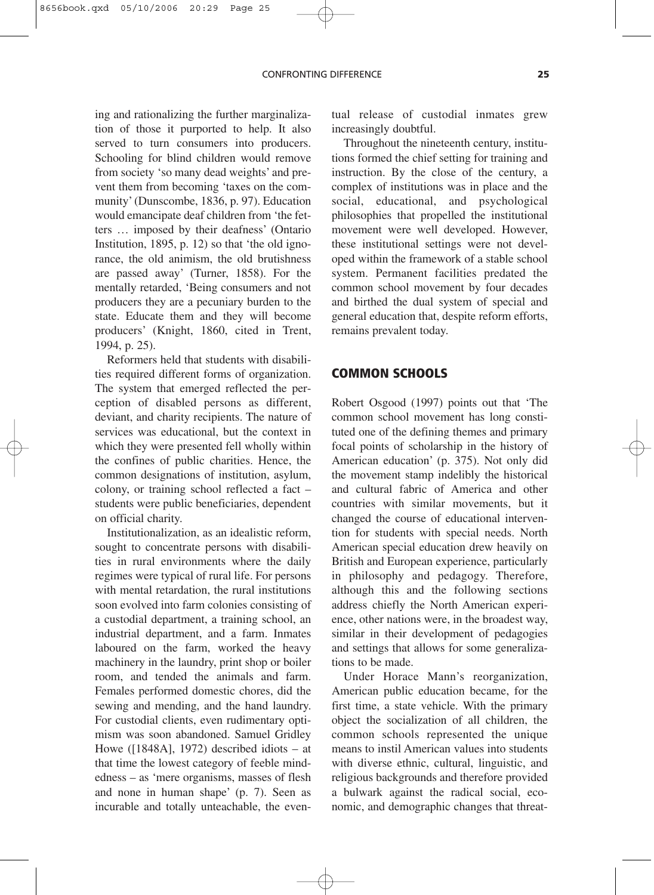ing and rationalizing the further marginalization of those it purported to help. It also served to turn consumers into producers. Schooling for blind children would remove from society 'so many dead weights' and prevent them from becoming 'taxes on the community' (Dunscombe, 1836, p. 97). Education would emancipate deaf children from 'the fetters … imposed by their deafness' (Ontario Institution, 1895, p. 12) so that 'the old ignorance, the old animism, the old brutishness are passed away' (Turner, 1858). For the mentally retarded, 'Being consumers and not producers they are a pecuniary burden to the state. Educate them and they will become producers' (Knight, 1860, cited in Trent, 1994, p. 25).

Reformers held that students with disabilities required different forms of organization. The system that emerged reflected the perception of disabled persons as different, deviant, and charity recipients. The nature of services was educational, but the context in which they were presented fell wholly within the confines of public charities. Hence, the common designations of institution, asylum, colony, or training school reflected a fact – students were public beneficiaries, dependent on official charity.

Institutionalization, as an idealistic reform, sought to concentrate persons with disabilities in rural environments where the daily regimes were typical of rural life. For persons with mental retardation, the rural institutions soon evolved into farm colonies consisting of a custodial department, a training school, an industrial department, and a farm. Inmates laboured on the farm, worked the heavy machinery in the laundry, print shop or boiler room, and tended the animals and farm. Females performed domestic chores, did the sewing and mending, and the hand laundry. For custodial clients, even rudimentary optimism was soon abandoned. Samuel Gridley Howe ( $[1848A]$ , 1972) described idiots – at that time the lowest category of feeble mindedness – as 'mere organisms, masses of flesh and none in human shape' (p. 7). Seen as incurable and totally unteachable, the eventual release of custodial inmates grew increasingly doubtful.

Throughout the nineteenth century, institutions formed the chief setting for training and instruction. By the close of the century, a complex of institutions was in place and the social, educational, and psychological philosophies that propelled the institutional movement were well developed. However, these institutional settings were not developed within the framework of a stable school system. Permanent facilities predated the common school movement by four decades and birthed the dual system of special and general education that, despite reform efforts, remains prevalent today.

## COMMON SCHOOLS

Robert Osgood (1997) points out that 'The common school movement has long constituted one of the defining themes and primary focal points of scholarship in the history of American education' (p. 375). Not only did the movement stamp indelibly the historical and cultural fabric of America and other countries with similar movements, but it changed the course of educational intervention for students with special needs. North American special education drew heavily on British and European experience, particularly in philosophy and pedagogy. Therefore, although this and the following sections address chiefly the North American experience, other nations were, in the broadest way, similar in their development of pedagogies and settings that allows for some generalizations to be made.

Under Horace Mann's reorganization, American public education became, for the first time, a state vehicle. With the primary object the socialization of all children, the common schools represented the unique means to instil American values into students with diverse ethnic, cultural, linguistic, and religious backgrounds and therefore provided a bulwark against the radical social, economic, and demographic changes that threat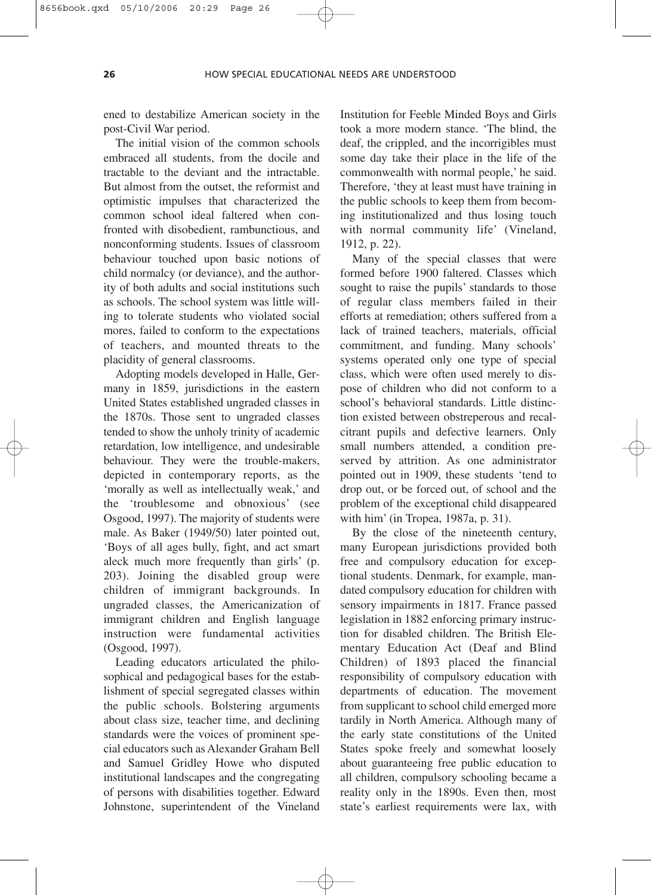ened to destabilize American society in the post-Civil War period.

The initial vision of the common schools embraced all students, from the docile and tractable to the deviant and the intractable. But almost from the outset, the reformist and optimistic impulses that characterized the common school ideal faltered when confronted with disobedient, rambunctious, and nonconforming students. Issues of classroom behaviour touched upon basic notions of child normalcy (or deviance), and the authority of both adults and social institutions such as schools. The school system was little willing to tolerate students who violated social mores, failed to conform to the expectations of teachers, and mounted threats to the placidity of general classrooms.

Adopting models developed in Halle, Germany in 1859, jurisdictions in the eastern United States established ungraded classes in the 1870s. Those sent to ungraded classes tended to show the unholy trinity of academic retardation, low intelligence, and undesirable behaviour. They were the trouble-makers, depicted in contemporary reports, as the 'morally as well as intellectually weak,' and the 'troublesome and obnoxious' (see Osgood, 1997). The majority of students were male. As Baker (1949/50) later pointed out, 'Boys of all ages bully, fight, and act smart aleck much more frequently than girls' (p. 203). Joining the disabled group were children of immigrant backgrounds. In ungraded classes, the Americanization of immigrant children and English language instruction were fundamental activities (Osgood, 1997).

Leading educators articulated the philosophical and pedagogical bases for the establishment of special segregated classes within the public schools. Bolstering arguments about class size, teacher time, and declining standards were the voices of prominent special educators such as Alexander Graham Bell and Samuel Gridley Howe who disputed institutional landscapes and the congregating of persons with disabilities together. Edward Johnstone, superintendent of the Vineland

Institution for Feeble Minded Boys and Girls took a more modern stance. 'The blind, the deaf, the crippled, and the incorrigibles must some day take their place in the life of the commonwealth with normal people,' he said. Therefore, 'they at least must have training in the public schools to keep them from becoming institutionalized and thus losing touch with normal community life' (Vineland, 1912, p. 22).

Many of the special classes that were formed before 1900 faltered. Classes which sought to raise the pupils' standards to those of regular class members failed in their efforts at remediation; others suffered from a lack of trained teachers, materials, official commitment, and funding. Many schools' systems operated only one type of special class, which were often used merely to dispose of children who did not conform to a school's behavioral standards. Little distinction existed between obstreperous and recalcitrant pupils and defective learners. Only small numbers attended, a condition preserved by attrition. As one administrator pointed out in 1909, these students 'tend to drop out, or be forced out, of school and the problem of the exceptional child disappeared with him' (in Tropea, 1987a, p. 31).

By the close of the nineteenth century, many European jurisdictions provided both free and compulsory education for exceptional students. Denmark, for example, mandated compulsory education for children with sensory impairments in 1817. France passed legislation in 1882 enforcing primary instruction for disabled children. The British Elementary Education Act (Deaf and Blind Children) of 1893 placed the financial responsibility of compulsory education with departments of education. The movement from supplicant to school child emerged more tardily in North America. Although many of the early state constitutions of the United States spoke freely and somewhat loosely about guaranteeing free public education to all children, compulsory schooling became a reality only in the 1890s. Even then, most state's earliest requirements were lax, with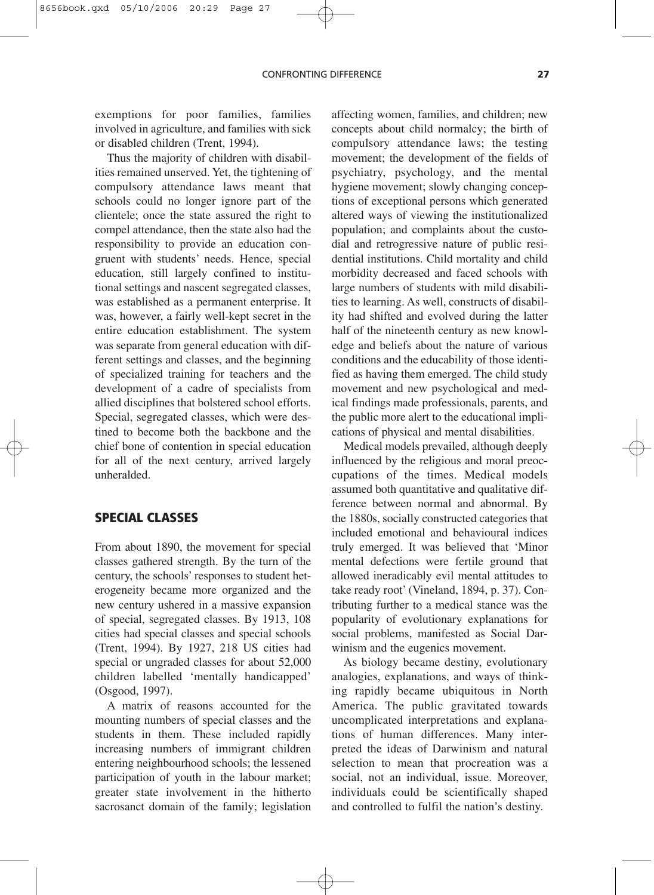exemptions for poor families, families involved in agriculture, and families with sick or disabled children (Trent, 1994).

Thus the majority of children with disabilities remained unserved. Yet, the tightening of compulsory attendance laws meant that schools could no longer ignore part of the clientele; once the state assured the right to compel attendance, then the state also had the responsibility to provide an education congruent with students' needs. Hence, special education, still largely confined to institutional settings and nascent segregated classes, was established as a permanent enterprise. It was, however, a fairly well-kept secret in the entire education establishment. The system was separate from general education with different settings and classes, and the beginning of specialized training for teachers and the development of a cadre of specialists from allied disciplines that bolstered school efforts. Special, segregated classes, which were destined to become both the backbone and the chief bone of contention in special education for all of the next century, arrived largely unheralded.

## SPECIAL CLASSES

From about 1890, the movement for special classes gathered strength. By the turn of the century, the schools' responses to student heterogeneity became more organized and the new century ushered in a massive expansion of special, segregated classes. By 1913, 108 cities had special classes and special schools (Trent, 1994). By 1927, 218 US cities had special or ungraded classes for about 52,000 children labelled 'mentally handicapped' (Osgood, 1997).

A matrix of reasons accounted for the mounting numbers of special classes and the students in them. These included rapidly increasing numbers of immigrant children entering neighbourhood schools; the lessened participation of youth in the labour market; greater state involvement in the hitherto sacrosanct domain of the family; legislation affecting women, families, and children; new concepts about child normalcy; the birth of compulsory attendance laws; the testing movement; the development of the fields of psychiatry, psychology, and the mental hygiene movement; slowly changing conceptions of exceptional persons which generated altered ways of viewing the institutionalized population; and complaints about the custodial and retrogressive nature of public residential institutions. Child mortality and child morbidity decreased and faced schools with large numbers of students with mild disabilities to learning. As well, constructs of disability had shifted and evolved during the latter half of the nineteenth century as new knowledge and beliefs about the nature of various conditions and the educability of those identified as having them emerged. The child study movement and new psychological and medical findings made professionals, parents, and the public more alert to the educational implications of physical and mental disabilities.

Medical models prevailed, although deeply influenced by the religious and moral preoccupations of the times. Medical models assumed both quantitative and qualitative difference between normal and abnormal. By the 1880s, socially constructed categories that included emotional and behavioural indices truly emerged. It was believed that 'Minor mental defections were fertile ground that allowed ineradicably evil mental attitudes to take ready root' (Vineland, 1894, p. 37). Contributing further to a medical stance was the popularity of evolutionary explanations for social problems, manifested as Social Darwinism and the eugenics movement.

As biology became destiny, evolutionary analogies, explanations, and ways of thinking rapidly became ubiquitous in North America. The public gravitated towards uncomplicated interpretations and explanations of human differences. Many interpreted the ideas of Darwinism and natural selection to mean that procreation was a social, not an individual, issue. Moreover, individuals could be scientifically shaped and controlled to fulfil the nation's destiny.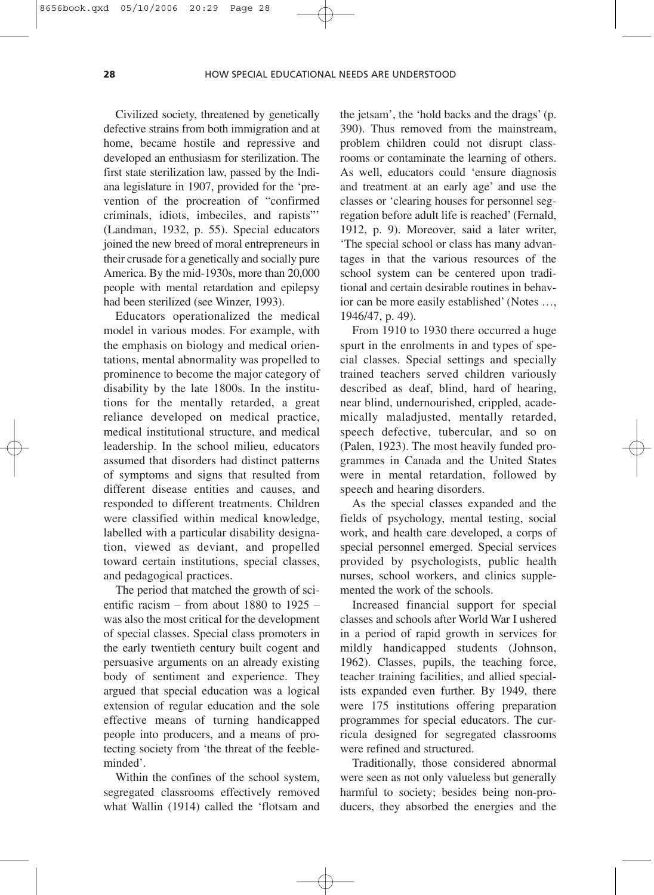Civilized society, threatened by genetically defective strains from both immigration and at home, became hostile and repressive and developed an enthusiasm for sterilization. The first state sterilization law, passed by the Indiana legislature in 1907, provided for the 'prevention of the procreation of "confirmed criminals, idiots, imbeciles, and rapists"' (Landman, 1932, p. 55). Special educators joined the new breed of moral entrepreneurs in their crusade for a genetically and socially pure America. By the mid-1930s, more than 20,000 people with mental retardation and epilepsy had been sterilized (see Winzer, 1993).

Educators operationalized the medical model in various modes. For example, with the emphasis on biology and medical orientations, mental abnormality was propelled to prominence to become the major category of disability by the late 1800s. In the institutions for the mentally retarded, a great reliance developed on medical practice, medical institutional structure, and medical leadership. In the school milieu, educators assumed that disorders had distinct patterns of symptoms and signs that resulted from different disease entities and causes, and responded to different treatments. Children were classified within medical knowledge, labelled with a particular disability designation, viewed as deviant, and propelled toward certain institutions, special classes, and pedagogical practices.

The period that matched the growth of scientific racism – from about 1880 to 1925 – was also the most critical for the development of special classes. Special class promoters in the early twentieth century built cogent and persuasive arguments on an already existing body of sentiment and experience. They argued that special education was a logical extension of regular education and the sole effective means of turning handicapped people into producers, and a means of protecting society from 'the threat of the feebleminded'.

Within the confines of the school system, segregated classrooms effectively removed what Wallin (1914) called the 'flotsam and

the jetsam', the 'hold backs and the drags' (p. 390). Thus removed from the mainstream, problem children could not disrupt classrooms or contaminate the learning of others. As well, educators could 'ensure diagnosis and treatment at an early age' and use the classes or 'clearing houses for personnel segregation before adult life is reached' (Fernald, 1912, p. 9). Moreover, said a later writer, 'The special school or class has many advantages in that the various resources of the school system can be centered upon traditional and certain desirable routines in behavior can be more easily established' (Notes …, 1946/47, p. 49).

From 1910 to 1930 there occurred a huge spurt in the enrolments in and types of special classes. Special settings and specially trained teachers served children variously described as deaf, blind, hard of hearing, near blind, undernourished, crippled, academically maladjusted, mentally retarded, speech defective, tubercular, and so on (Palen, 1923). The most heavily funded programmes in Canada and the United States were in mental retardation, followed by speech and hearing disorders.

As the special classes expanded and the fields of psychology, mental testing, social work, and health care developed, a corps of special personnel emerged. Special services provided by psychologists, public health nurses, school workers, and clinics supplemented the work of the schools.

Increased financial support for special classes and schools after World War I ushered in a period of rapid growth in services for mildly handicapped students (Johnson, 1962). Classes, pupils, the teaching force, teacher training facilities, and allied specialists expanded even further. By 1949, there were 175 institutions offering preparation programmes for special educators. The curricula designed for segregated classrooms were refined and structured.

Traditionally, those considered abnormal were seen as not only valueless but generally harmful to society; besides being non-producers, they absorbed the energies and the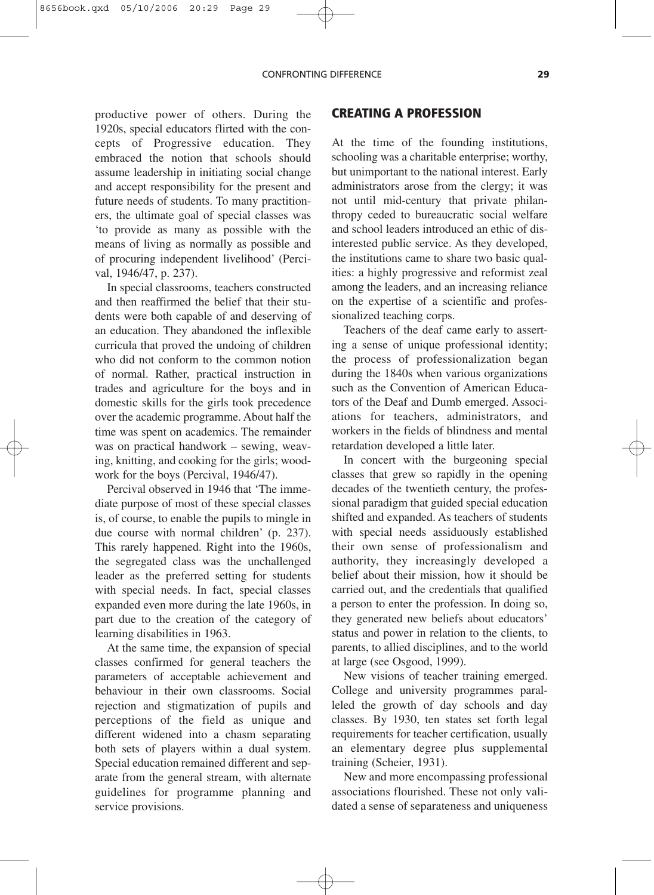productive power of others. During the 1920s, special educators flirted with the concepts of Progressive education. They embraced the notion that schools should assume leadership in initiating social change and accept responsibility for the present and future needs of students. To many practitioners, the ultimate goal of special classes was 'to provide as many as possible with the means of living as normally as possible and of procuring independent livelihood' (Percival, 1946/47, p. 237).

In special classrooms, teachers constructed and then reaffirmed the belief that their students were both capable of and deserving of an education. They abandoned the inflexible curricula that proved the undoing of children who did not conform to the common notion of normal. Rather, practical instruction in trades and agriculture for the boys and in domestic skills for the girls took precedence over the academic programme. About half the time was spent on academics. The remainder was on practical handwork – sewing, weaving, knitting, and cooking for the girls; woodwork for the boys (Percival, 1946/47).

Percival observed in 1946 that 'The immediate purpose of most of these special classes is, of course, to enable the pupils to mingle in due course with normal children' (p. 237). This rarely happened. Right into the 1960s, the segregated class was the unchallenged leader as the preferred setting for students with special needs. In fact, special classes expanded even more during the late 1960s, in part due to the creation of the category of learning disabilities in 1963.

At the same time, the expansion of special classes confirmed for general teachers the parameters of acceptable achievement and behaviour in their own classrooms. Social rejection and stigmatization of pupils and perceptions of the field as unique and different widened into a chasm separating both sets of players within a dual system. Special education remained different and separate from the general stream, with alternate guidelines for programme planning and service provisions.

## CREATING A PROFESSION

At the time of the founding institutions, schooling was a charitable enterprise; worthy, but unimportant to the national interest. Early administrators arose from the clergy; it was not until mid-century that private philanthropy ceded to bureaucratic social welfare and school leaders introduced an ethic of disinterested public service. As they developed, the institutions came to share two basic qualities: a highly progressive and reformist zeal among the leaders, and an increasing reliance on the expertise of a scientific and professionalized teaching corps.

Teachers of the deaf came early to asserting a sense of unique professional identity; the process of professionalization began during the 1840s when various organizations such as the Convention of American Educators of the Deaf and Dumb emerged. Associations for teachers, administrators, and workers in the fields of blindness and mental retardation developed a little later.

In concert with the burgeoning special classes that grew so rapidly in the opening decades of the twentieth century, the professional paradigm that guided special education shifted and expanded. As teachers of students with special needs assiduously established their own sense of professionalism and authority, they increasingly developed a belief about their mission, how it should be carried out, and the credentials that qualified a person to enter the profession. In doing so, they generated new beliefs about educators' status and power in relation to the clients, to parents, to allied disciplines, and to the world at large (see Osgood, 1999).

New visions of teacher training emerged. College and university programmes paralleled the growth of day schools and day classes. By 1930, ten states set forth legal requirements for teacher certification, usually an elementary degree plus supplemental training (Scheier, 1931).

New and more encompassing professional associations flourished. These not only validated a sense of separateness and uniqueness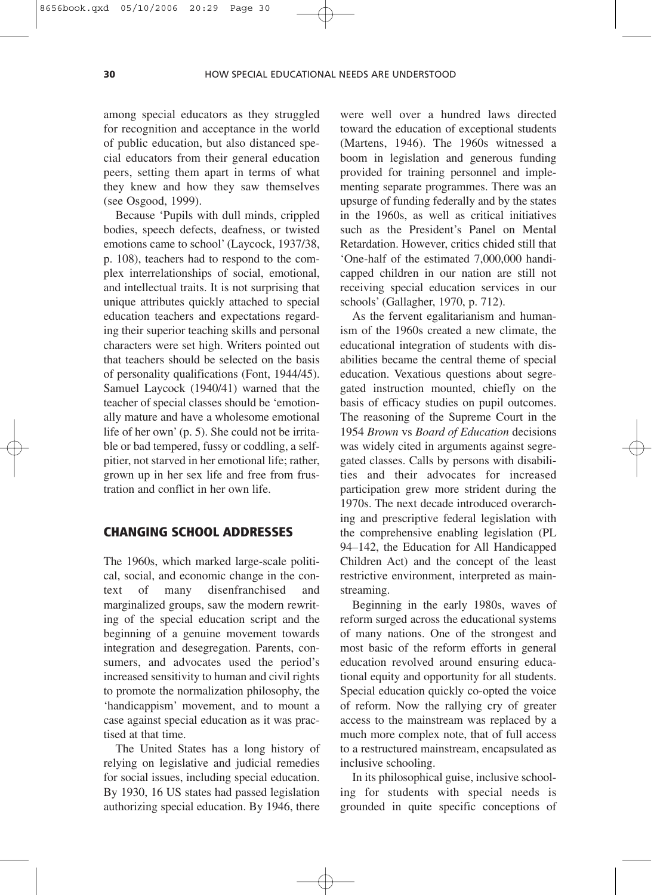among special educators as they struggled for recognition and acceptance in the world of public education, but also distanced special educators from their general education peers, setting them apart in terms of what they knew and how they saw themselves (see Osgood, 1999).

Because 'Pupils with dull minds, crippled bodies, speech defects, deafness, or twisted emotions came to school' (Laycock, 1937/38, p. 108), teachers had to respond to the complex interrelationships of social, emotional, and intellectual traits. It is not surprising that unique attributes quickly attached to special education teachers and expectations regarding their superior teaching skills and personal characters were set high. Writers pointed out that teachers should be selected on the basis of personality qualifications (Font, 1944/45). Samuel Laycock (1940/41) warned that the teacher of special classes should be 'emotionally mature and have a wholesome emotional life of her own' (p. 5). She could not be irritable or bad tempered, fussy or coddling, a selfpitier, not starved in her emotional life; rather, grown up in her sex life and free from frustration and conflict in her own life.

## CHANGING SCHOOL ADDRESSES

The 1960s, which marked large-scale political, social, and economic change in the context of many disenfranchised and marginalized groups, saw the modern rewriting of the special education script and the beginning of a genuine movement towards integration and desegregation. Parents, consumers, and advocates used the period's increased sensitivity to human and civil rights to promote the normalization philosophy, the 'handicappism' movement, and to mount a case against special education as it was practised at that time.

The United States has a long history of relying on legislative and judicial remedies for social issues, including special education. By 1930, 16 US states had passed legislation authorizing special education. By 1946, there

were well over a hundred laws directed toward the education of exceptional students (Martens, 1946). The 1960s witnessed a boom in legislation and generous funding provided for training personnel and implementing separate programmes. There was an upsurge of funding federally and by the states in the 1960s, as well as critical initiatives such as the President's Panel on Mental Retardation. However, critics chided still that 'One-half of the estimated 7,000,000 handicapped children in our nation are still not receiving special education services in our schools' (Gallagher, 1970, p. 712).

As the fervent egalitarianism and humanism of the 1960s created a new climate, the educational integration of students with disabilities became the central theme of special education. Vexatious questions about segregated instruction mounted, chiefly on the basis of efficacy studies on pupil outcomes. The reasoning of the Supreme Court in the 1954 *Brown* vs *Board of Education* decisions was widely cited in arguments against segregated classes. Calls by persons with disabilities and their advocates for increased participation grew more strident during the 1970s. The next decade introduced overarching and prescriptive federal legislation with the comprehensive enabling legislation (PL 94–142, the Education for All Handicapped Children Act) and the concept of the least restrictive environment, interpreted as mainstreaming.

Beginning in the early 1980s, waves of reform surged across the educational systems of many nations. One of the strongest and most basic of the reform efforts in general education revolved around ensuring educational equity and opportunity for all students. Special education quickly co-opted the voice of reform. Now the rallying cry of greater access to the mainstream was replaced by a much more complex note, that of full access to a restructured mainstream, encapsulated as inclusive schooling.

In its philosophical guise, inclusive schooling for students with special needs is grounded in quite specific conceptions of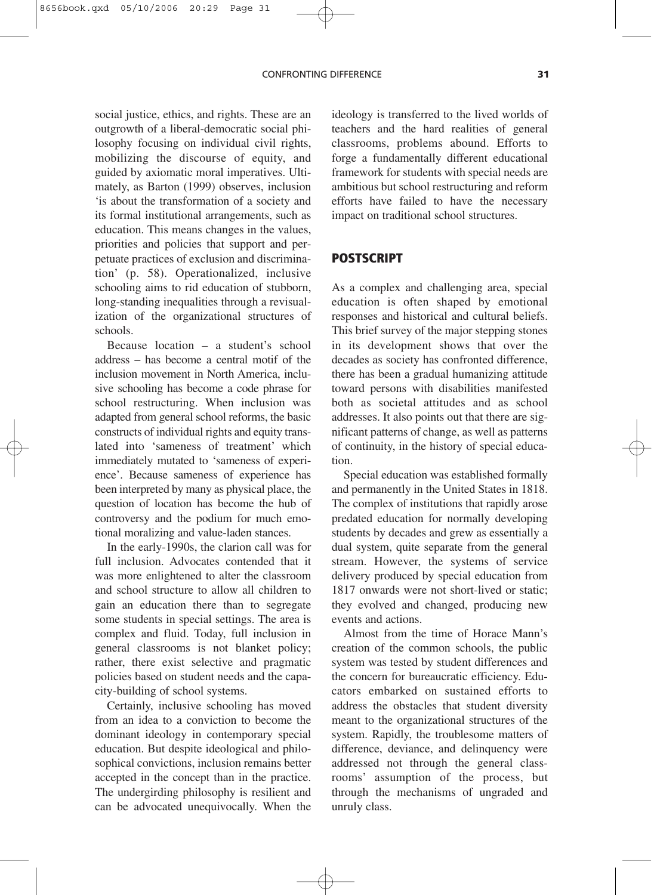social justice, ethics, and rights. These are an outgrowth of a liberal-democratic social philosophy focusing on individual civil rights, mobilizing the discourse of equity, and guided by axiomatic moral imperatives. Ultimately, as Barton (1999) observes, inclusion 'is about the transformation of a society and its formal institutional arrangements, such as education. This means changes in the values, priorities and policies that support and perpetuate practices of exclusion and discrimination' (p. 58). Operationalized, inclusive schooling aims to rid education of stubborn, long-standing inequalities through a revisualization of the organizational structures of schools.

Because location – a student's school address – has become a central motif of the inclusion movement in North America, inclusive schooling has become a code phrase for school restructuring. When inclusion was adapted from general school reforms, the basic constructs of individual rights and equity translated into 'sameness of treatment' which immediately mutated to 'sameness of experience'. Because sameness of experience has been interpreted by many as physical place, the question of location has become the hub of controversy and the podium for much emotional moralizing and value-laden stances.

In the early-1990s, the clarion call was for full inclusion. Advocates contended that it was more enlightened to alter the classroom and school structure to allow all children to gain an education there than to segregate some students in special settings. The area is complex and fluid. Today, full inclusion in general classrooms is not blanket policy; rather, there exist selective and pragmatic policies based on student needs and the capacity-building of school systems.

Certainly, inclusive schooling has moved from an idea to a conviction to become the dominant ideology in contemporary special education. But despite ideological and philosophical convictions, inclusion remains better accepted in the concept than in the practice. The undergirding philosophy is resilient and can be advocated unequivocally. When the ideology is transferred to the lived worlds of teachers and the hard realities of general classrooms, problems abound. Efforts to forge a fundamentally different educational framework for students with special needs are ambitious but school restructuring and reform efforts have failed to have the necessary impact on traditional school structures.

## POSTSCRIPT

As a complex and challenging area, special education is often shaped by emotional responses and historical and cultural beliefs. This brief survey of the major stepping stones in its development shows that over the decades as society has confronted difference, there has been a gradual humanizing attitude toward persons with disabilities manifested both as societal attitudes and as school addresses. It also points out that there are significant patterns of change, as well as patterns of continuity, in the history of special education.

Special education was established formally and permanently in the United States in 1818. The complex of institutions that rapidly arose predated education for normally developing students by decades and grew as essentially a dual system, quite separate from the general stream. However, the systems of service delivery produced by special education from 1817 onwards were not short-lived or static; they evolved and changed, producing new events and actions.

Almost from the time of Horace Mann's creation of the common schools, the public system was tested by student differences and the concern for bureaucratic efficiency. Educators embarked on sustained efforts to address the obstacles that student diversity meant to the organizational structures of the system. Rapidly, the troublesome matters of difference, deviance, and delinquency were addressed not through the general classrooms' assumption of the process, but through the mechanisms of ungraded and unruly class.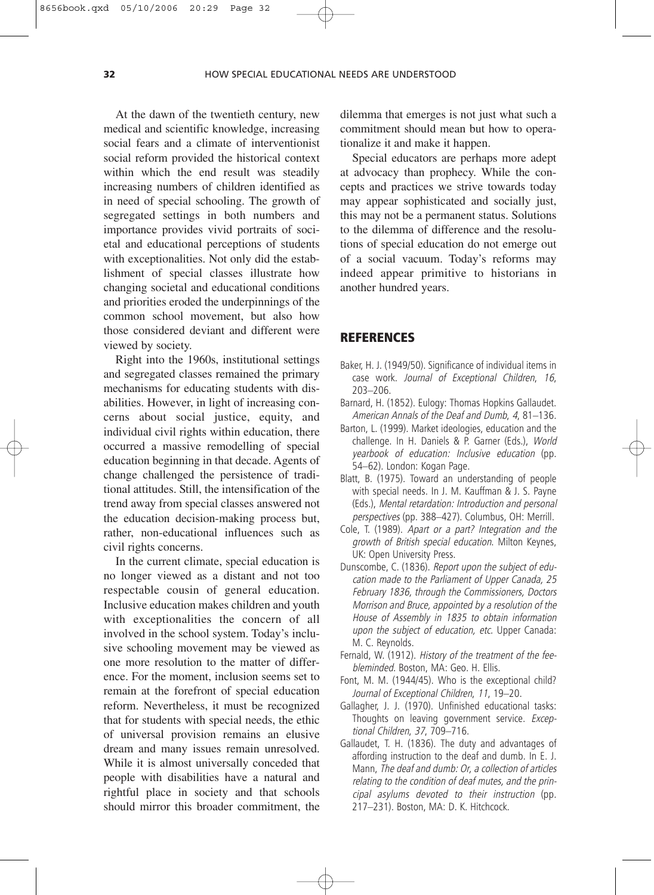At the dawn of the twentieth century, new medical and scientific knowledge, increasing social fears and a climate of interventionist social reform provided the historical context within which the end result was steadily increasing numbers of children identified as in need of special schooling. The growth of segregated settings in both numbers and importance provides vivid portraits of societal and educational perceptions of students with exceptionalities. Not only did the establishment of special classes illustrate how changing societal and educational conditions and priorities eroded the underpinnings of the common school movement, but also how those considered deviant and different were viewed by society.

Right into the 1960s, institutional settings and segregated classes remained the primary mechanisms for educating students with disabilities. However, in light of increasing concerns about social justice, equity, and individual civil rights within education, there occurred a massive remodelling of special education beginning in that decade. Agents of change challenged the persistence of traditional attitudes. Still, the intensification of the trend away from special classes answered not the education decision-making process but, rather, non-educational influences such as civil rights concerns.

In the current climate, special education is no longer viewed as a distant and not too respectable cousin of general education. Inclusive education makes children and youth with exceptionalities the concern of all involved in the school system. Today's inclusive schooling movement may be viewed as one more resolution to the matter of difference. For the moment, inclusion seems set to remain at the forefront of special education reform. Nevertheless, it must be recognized that for students with special needs, the ethic of universal provision remains an elusive dream and many issues remain unresolved. While it is almost universally conceded that people with disabilities have a natural and rightful place in society and that schools should mirror this broader commitment, the

dilemma that emerges is not just what such a commitment should mean but how to operationalize it and make it happen.

Special educators are perhaps more adept at advocacy than prophecy. While the concepts and practices we strive towards today may appear sophisticated and socially just, this may not be a permanent status. Solutions to the dilemma of difference and the resolutions of special education do not emerge out of a social vacuum. Today's reforms may indeed appear primitive to historians in another hundred years.

## **REFERENCES**

- Baker, H. J. (1949/50). Significance of individual items in case work. Journal of Exceptional Children, 16, 203–206.
- Barnard, H. (1852). Eulogy: Thomas Hopkins Gallaudet. American Annals of the Deaf and Dumb, <sup>4</sup>, 81–136.
- Barton, L. (1999). Market ideologies, education and the challenge. In H. Daniels & P. Garner (Eds.), World yearbook of education: Inclusive education (pp. 54–62). London: Kogan Page.
- Blatt, B. (1975). Toward an understanding of people with special needs. In J. M. Kauffman & J. S. Payne (Eds.), Mental retardation: Introduction and personal perspectives (pp. 388–427). Columbus, OH: Merrill.
- Cole, T. (1989). Apart or a part? Integration and the growth of British special education. Milton Keynes, UK: Open University Press.
- Dunscombe, C. (1836). Report upon the subject of education made to the Parliament of Upper Canada, 25 February 1836, through the Commissioners, Doctors Morrison and Bruce, appointed by a resolution of the House of Assembly in 1835 to obtain information upon the subject of education, etc. Upper Canada: M. C. Reynolds.
- Fernald, W. (1912). History of the treatment of the feebleminded. Boston, MA: Geo. H. Ellis.
- Font, M. M. (1944/45). Who is the exceptional child? Journal of Exceptional Children, 11, 19–20.
- Gallagher, J. J. (1970). Unfinished educational tasks: Thoughts on leaving government service. Exceptional Children, 37, 709–716.
- Gallaudet, T. H. (1836). The duty and advantages of affording instruction to the deaf and dumb. In E. J. Mann, The deaf and dumb: Or, a collection of articles relating to the condition of deaf mutes, and the principal asylums devoted to their instruction (pp. 217–231). Boston, MA: D. K. Hitchcock.